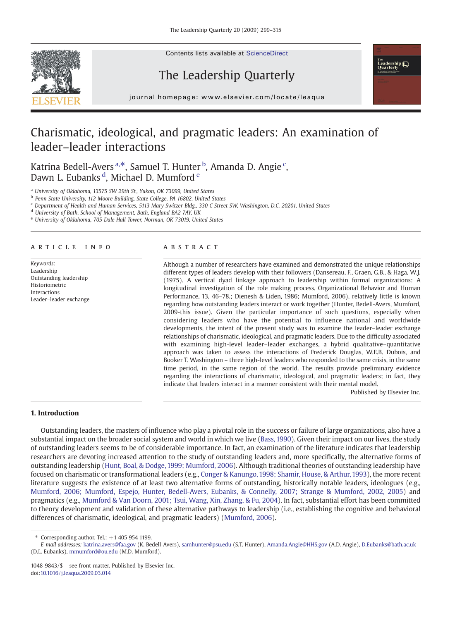

Contents lists available at ScienceDirect

# The Leadership Quarterly



j o u r n a l h om e p a g e r. c om e p a g e r. c om / l o c a t e a t e a t e l o c a t e l o c a t e a q u<br>L

# Charismatic, ideological, and pragmatic leaders: An examination of leader–leader interactions

Katrina Bedell-Avers<sup>a,\*</sup>, Samuel T. Hunter <sup>b</sup>, Amanda D. Angie <sup>c</sup>, Dawn L. Eubanks <sup>d</sup>, Michael D. Mumford <sup>e</sup>

<sup>a</sup> University of Oklahoma, 13575 SW 29th St., Yukon, OK 73099, United States

<sup>b</sup> Penn State University, 112 Moore Building, State College, PA 16802, United States

<sup>c</sup> Department of Health and Human Services, 5113 Mary Switzer Bldg., 330 C Street SW, Washington, D.C. 20201, United States

<sup>d</sup> University of Bath, School of Management, Bath, England BA2 7AY, UK

<sup>e</sup> University of Oklahoma, 705 Dale Hall Tower, Norman, OK 73019, United States

### article info abstract

Keywords: Leadership Outstanding leadership Historiometric Interactions Leader–leader exchange

Although a number of researchers have examined and demonstrated the unique relationships different types of leaders develop with their followers (Dansereau, F., Graen, G.B., & Haga, W.J. (1975). A vertical dyad linkage approach to leadership within formal organizations: A longitudinal investigation of the role making process. Organizational Behavior and Human Performance, 13, 46–78.; Dienesh & Liden, 1986; Mumford, 2006), relatively little is known regarding how outstanding leaders interact or work together (Hunter, Bedell-Avers, Mumford, 2009-this issue). Given the particular importance of such questions, especially when considering leaders who have the potential to influence national and worldwide developments, the intent of the present study was to examine the leader–leader exchange relationships of charismatic, ideological, and pragmatic leaders. Due to the difficulty associated with examining high-level leader–leader exchanges, a hybrid qualitative–quantitative approach was taken to assess the interactions of Frederick Douglas, W.E.B. Dubois, and Booker T. Washington – three high-level leaders who responded to the same crisis, in the same time period, in the same region of the world. The results provide preliminary evidence regarding the interactions of charismatic, ideological, and pragmatic leaders; in fact, they indicate that leaders interact in a manner consistent with their mental model.

Published by Elsevier Inc.

# 1. Introduction

Outstanding leaders, the masters of influence who play a pivotal role in the success or failure of large organizations, also have a substantial impact on the broader social system and world in which we live ([Bass, 1990](#page--1-0)). Given their impact on our lives, the study of outstanding leaders seems to be of considerable importance. In fact, an examination of the literature indicates that leadership researchers are devoting increased attention to the study of outstanding leaders and, more specifically, the alternative forms of outstanding leadership [\(Hunt, Boal, & Dodge, 1999; Mumford, 2006\)](#page--1-0). Although traditional theories of outstanding leadership have focused on charismatic or transformational leaders (e.g., [Conger & Kanungo, 1998; Shamir, House, & Arthur, 1993\)](#page--1-0), the more recent literature suggests the existence of at least two alternative forms of outstanding, historically notable leaders, ideologues (e.g., [Mumford, 2006; Mumford, Espejo, Hunter, Bedell-Avers, Eubanks, & Connelly, 2007; Strange & Mumford, 2002, 2005](#page--1-0)) and pragmatics (e.g., [Mumford & Van Doorn, 2001; Tsui, Wang, Xin, Zhang, & Fu, 2004](#page--1-0)). In fact, substantial effort has been committed to theory development and validation of these alternative pathways to leadership (i.e., establishing the cognitive and behavioral differences of charismatic, ideological, and pragmatic leaders) [\(Mumford, 2006](#page--1-0)).

Corresponding author. Tel.:  $+1$  405 954 1199.

E-mail addresses: [katrina.avers@faa.gov](mailto:katrina.avers@faa.gov) (K. Bedell-Avers), [samhunter@psu.edu](mailto:samhunter@psu.edu) (S.T. Hunter), [Amanda.Angie@HHS.gov](mailto:Amanda.Angie@HHS.gov) (A.D. Angie), [D.Eubanks@bath.ac.uk](mailto:D.Eubanks@bath.ac.uk) (D.L. Eubanks), [mmumford@ou.edu](mailto:mmumford@ou.edu) (M.D. Mumford).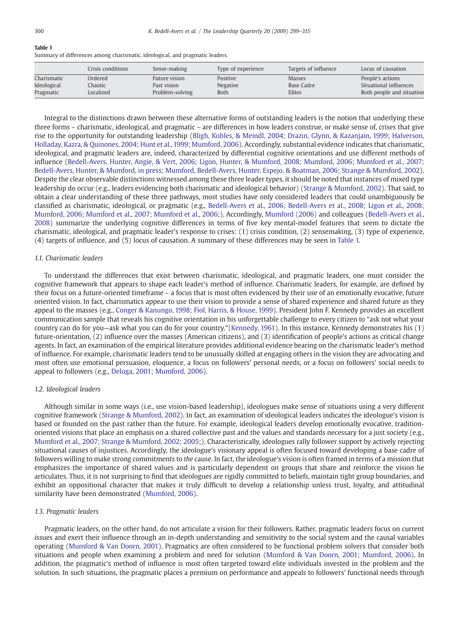### Table 1

Summary of differences among charismatic, ideological, and pragmatic leaders.

|             | Crisis conditions | Sense-making    | Type of experience | Targets of influence | Locus of causation        |
|-------------|-------------------|-----------------|--------------------|----------------------|---------------------------|
| Charismatic | Ordered           | Future vision   | Positive           | <b>Masses</b>        | People's actions          |
| Ideological | Chaotic           | Past vision     | Negative           | Base Cadre           | Situational influences    |
| Pragmatic   | Localized         | Problem-solving | Both               | Elites               | Both people and situation |

Integral to the distinctions drawn between these alternative forms of outstanding leaders is the notion that underlying these three forms – charismatic, ideological, and pragmatic – are differences in how leaders construe, or make sense of, crises that give rise to the opportunity for outstanding leadership ([Bligh, Kohles, & Meindl, 2004; Drazin, Glynn, & Kazanjain, 1999; Halverson,](#page--1-0) [Holladay, Kazra, & Quinones, 2004; Hunt et al., 1999; Mumford, 2006\)](#page--1-0). Accordingly, substantial evidence indicates that charismatic, ideological, and pragmatic leaders are, indeed, characterized by differential cognitive orientations and use different methods of influence [\(Bedell-Avers, Hunter, Angie, & Vert, 2006; Ligon, Hunter, & Mumford, 2008; Mumford, 2006; Mumford et al., 2007;](#page--1-0) [Bedell-Avers, Hunter, & Mumford, in press; Mumford, Bedell-Avers, Hunter, Espejo, & Boatman, 2006; Strange & Mumford, 2002](#page--1-0)). Despite the clear observable distinctions witnessed among these three leader types, it should be noted that instances of mixed type leadership do occur (e.g., leaders evidencing both charismatic and ideological behavior) [\(Strange & Mumford, 2002](#page--1-0)). That said, to obtain a clear understanding of these three pathways, most studies have only considered leaders that could unambiguously be classified as charismatic, ideological, or pragmatic (e.g., [Bedell-Avers et al., 2006; Bedell-Avers et al., 2008; Ligon et al., 2008;](#page--1-0) [Mumford, 2006; Mumford et al., 2007; Mumford et al., 2006](#page--1-0);). Accordingly, [Mumford \(2006\)](#page--1-0) and colleagues ([Bedell-Avers et al.,](#page--1-0) [2008\)](#page--1-0) summarize the underlying cognitive differences in terms of five key mental-model features that seem to dictate the charismatic, ideological, and pragmatic leader's response to crises: (1) crisis condition, (2) sensemaking, (3) type of experience, (4) targets of influence, and (5) locus of causation. A summary of these differences may be seen in Table 1.

## 1.1. Charismatic leaders

To understand the differences that exist between charismatic, ideological, and pragmatic leaders, one must consider the cognitive framework that appears to shape each leader's method of influence. Charismatic leaders, for example, are defined by their focus on a future-oriented timeframe – a focus that is most often evidenced by their use of an emotionally evocative, future oriented vision. In fact, charismatics appear to use their vision to provide a sense of shared experience and shared future as they appeal to the masses (e.g., [Conger & Kanungo, 1998; Fiol, Harris, & House, 1999\)](#page--1-0). President John F. Kennedy provides an excellent communication sample that reveals his cognitive orientation in his unforgettable challenge to every citizen to "ask not what your country can do for you—ask what you can do for your country."([Kennedy, 1961](#page--1-0)). In this instance, Kennedy demonstrates his (1) future-orientation, (2) influence over the masses (American citizens), and (3) identification of people's actions as critical change agents. In fact, an examination of the empirical literature provides additional evidence bearing on the charismatic leader's method of influence. For example, charismatic leaders tend to be unusually skilled at engaging others in the vision they are advocating and most often use emotional persuasion, eloquence, a focus on followers' personal needs, or a focus on followers' social needs to appeal to followers (e.g., [Deluga, 2001; Mumford, 2006\)](#page--1-0).

# 1.2. Ideological leaders

Although similar in some ways (i.e., use vision-based leadership), ideologues make sense of situations using a very different cognitive framework ([Strange & Mumford, 2002](#page--1-0)). In fact, an examination of ideological leaders indicates the ideologue's vision is based or founded on the past rather than the future. For example, ideological leaders develop emotionally evocative, traditionoriented visions that place an emphasis on a shared collective past and the values and standards necessary for a just society (e.g., [Mumford et al., 2007; Strange & Mumford, 2002; 2005;](#page--1-0)). Characteristically, ideologues rally follower support by actively rejecting situational causes of injustices. Accordingly, the ideologue's visionary appeal is often focused toward developing a base cadre of followers willing to make strong commitments to the cause. In fact, the ideologue's vision is often framed in terms of a mission that emphasizes the importance of shared values and is particularly dependent on groups that share and reinforce the vision he articulates. Thus, it is not surprising to find that ideologues are rigidly committed to beliefs, maintain tight group boundaries, and exhibit an oppositional character that makes it truly difficult to develop a relationship unless trust, loyalty, and attitudinal similarity have been demonstrated [\(Mumford, 2006](#page--1-0)).

## 1.3. Pragmatic leaders

Pragmatic leaders, on the other hand, do not articulate a vision for their followers. Rather, pragmatic leaders focus on current issues and exert their influence through an in-depth understanding and sensitivity to the social system and the causal variables operating [\(Mumford & Van Doorn, 2001\)](#page--1-0). Pragmatics are often considered to be functional problem solvers that consider both situations and people when examining a problem and need for solution [\(Mumford & Van Doorn, 2001; Mumford, 2006\)](#page--1-0). In addition, the pragmatic's method of influence is most often targeted toward elite individuals invested in the problem and the solution. In such situations, the pragmatic places a premium on performance and appeals to followers' functional needs through